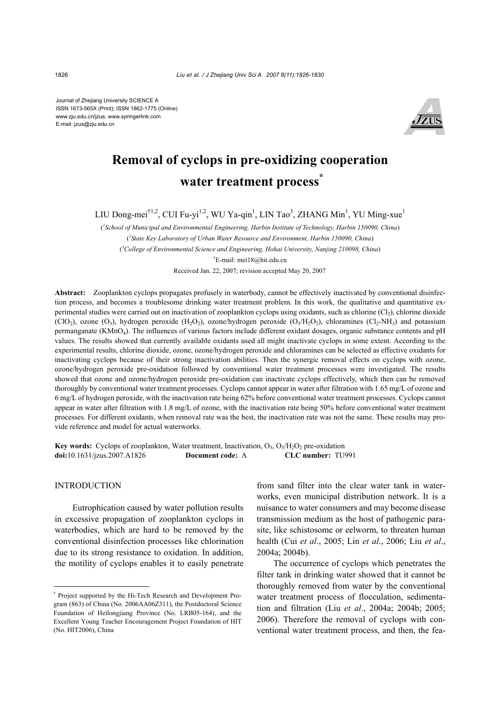Journal of Zhejiang University SCIENCE A ISSN 1673-565X (Print); ISSN 1862-1775 (Online) www.zju.edu.cn/jzus; www.springerlink.com E-mail: jzus@zju.edu.cn



# **Removal of cyclops in pre-oxidizing cooperation water treatment process\***

LIU Dong-mei<sup>†1,2</sup>, CUI Fu-yi<sup>1,2</sup>, WU Ya-qin<sup>1</sup>, LIN Tao<sup>3</sup>, ZHANG Min<sup>1</sup>, YU Ming-xue<sup>1</sup>

( *1 School of Municipal and Environmental Engineering, Harbin Institute of Technology, Harbin 150090, China*) ( *2 State Key Laboratory of Urban Water Resource and Environment, Harbin 150090, China*) ( *3 College of Environmental Science and Engineering, Hohai University, Nanjing 210098, China*) † E-mail: mei18@hit.edu.cn

Received Jan. 22, 2007; revision accepted May 20, 2007

**Abstract:** Zooplankton cyclops propagates profusely in waterbody, cannot be effectively inactivated by conventional disinfection process, and becomes a troublesome drinking water treatment problem. In this work, the qualitative and quantitative experimental studies were carried out on inactivation of zooplankton cyclops using oxidants, such as chlorine  $(C_1)$ , chlorine dioxide (ClO<sub>2</sub>), ozone (O<sub>3</sub>), hydrogen peroxide (H<sub>2</sub>O<sub>2</sub>), ozone/hydrogen peroxide (O<sub>3</sub>/H<sub>2</sub>O<sub>2</sub>), chloramines (Cl<sub>2</sub>-NH<sub>3</sub>) and potassium permanganate (KMnO4). The influences of various factors include different oxidant dosages, organic substance contents and pH values. The results showed that currently available oxidants used all might inactivate cyclops in some extent. According to the experimental results, chlorine dioxide, ozone, ozone/hydrogen peroxide and chloramines can be selected as effective oxidants for inactivating cyclops because of their strong inactivation abilities. Then the synergic removal effects on cyclops with ozone, ozone/hydrogen peroxide pre-oxidation followed by conventional water treatment processes were investigated. The results showed that ozone and ozone/hydrogen peroxide pre-oxidation can inactivate cyclops effectively, which then can be removed thoroughly by conventional water treatment processes. Cyclops cannot appear in water after filtration with 1.65 mg/L of ozone and 6 mg/L of hydrogen peroxide, with the inactivation rate being 62% before conventional water treatment processes. Cyclops cannot appear in water after filtration with 1.8 mg/L of ozone, with the inactivation rate being 50% before conventional water treatment processes. For different oxidants, when removal rate was the best, the inactivation rate was not the same. These results may provide reference and model for actual waterworks.

**Key words:** Cyclops of zooplankton, Water treatment, Inactivation,  $O_3$ ,  $O_3$ /H<sub>2</sub>O<sub>2</sub> pre-oxidation **doi:**10.1631/jzus.2007.A1826 **Document code:** A **CLC number:** TU991

### INTRODUCTION

Eutrophication caused by water pollution results in excessive propagation of zooplankton cyclops in waterbodies, which are hard to be removed by the conventional disinfection processes like chlorination due to its strong resistance to oxidation. In addition, the motility of cyclops enables it to easily penetrate

from sand filter into the clear water tank in waterworks, even municipal distribution network. It is a nuisance to water consumers and may become disease transmission medium as the host of pathogenic parasite, like schistosome or eelworm, to threaten human health (Cui *et al*., 2005; Lin *et al*., 2006; Liu *et al*., 2004a; 2004b).

The occurrence of cyclops which penetrates the filter tank in drinking water showed that it cannot be thoroughly removed from water by the conventional water treatment process of flocculation, sedimentation and filtration (Liu *et al*., 2004a; 2004b; 2005; 2006). Therefore the removal of cyclops with conventional water treatment process, and then, the fea-

<sup>\*</sup> Project supported by the Hi-Tech Research and Development Program (863) of China (No. 2006AA06Z311), the Postdoctoral Science Foundation of Heilongjiang Province (No. LRB05-164), and the Excellent Young Teacher Encouragement Project Foundation of HIT (No. HIT2006), China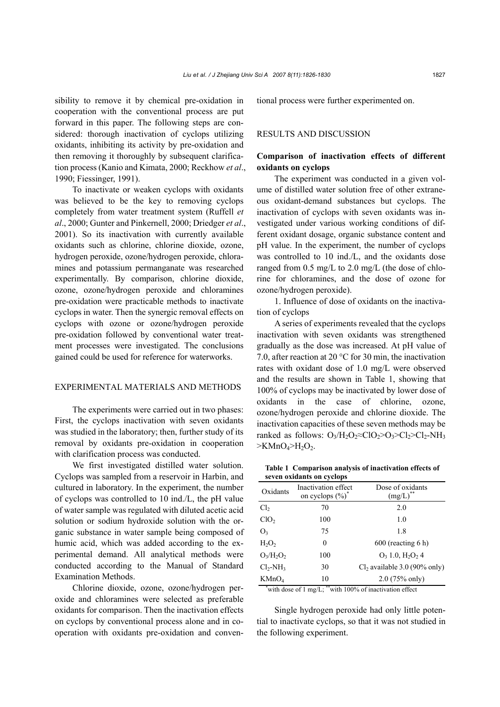sibility to remove it by chemical pre-oxidation in cooperation with the conventional process are put forward in this paper. The following steps are considered: thorough inactivation of cyclops utilizing oxidants, inhibiting its activity by pre-oxidation and then removing it thoroughly by subsequent clarification process (Kanio and Kimata, 2000; Reckhow *et al*., 1990; Fiessinger, 1991).

To inactivate or weaken cyclops with oxidants was believed to be the key to removing cyclops completely from water treatment system (Ruffell *et al*., 2000; Gunter and Pinkernell, 2000; Driedger *et al*., 2001). So its inactivation with currently available oxidants such as chlorine, chlorine dioxide, ozone, hydrogen peroxide, ozone/hydrogen peroxide, chloramines and potassium permanganate was researched experimentally. By comparison, chlorine dioxide, ozone, ozone/hydrogen peroxide and chloramines pre-oxidation were practicable methods to inactivate cyclops in water. Then the synergic removal effects on cyclops with ozone or ozone/hydrogen peroxide pre-oxidation followed by conventional water treatment processes were investigated. The conclusions gained could be used for reference for waterworks.

#### EXPERIMENTAL MATERIALS AND METHODS

The experiments were carried out in two phases: First, the cyclops inactivation with seven oxidants was studied in the laboratory; then, further study of its removal by oxidants pre-oxidation in cooperation with clarification process was conducted.

We first investigated distilled water solution. Cyclops was sampled from a reservoir in Harbin, and cultured in laboratory. In the experiment, the number of cyclops was controlled to 10 ind./L, the pH value of water sample was regulated with diluted acetic acid solution or sodium hydroxide solution with the organic substance in water sample being composed of humic acid, which was added according to the experimental demand. All analytical methods were conducted according to the Manual of Standard Examination Methods.

Chlorine dioxide, ozone, ozone/hydrogen peroxide and chloramines were selected as preferable oxidants for comparison. Then the inactivation effects on cyclops by conventional process alone and in cooperation with oxidants pre-oxidation and conventional process were further experimented on.

## RESULTS AND DISCUSSION

# **Comparison of inactivation effects of different oxidants on cyclops**

The experiment was conducted in a given volume of distilled water solution free of other extraneous oxidant-demand substances but cyclops. The inactivation of cyclops with seven oxidants was investigated under various working conditions of different oxidant dosage, organic substance content and pH value. In the experiment, the number of cyclops was controlled to 10 ind./L, and the oxidants dose ranged from 0.5 mg/L to 2.0 mg/L (the dose of chlorine for chloramines, and the dose of ozone for ozone/hydrogen peroxide).

1. Influence of dose of oxidants on the inactivation of cyclops

A series of experiments revealed that the cyclops inactivation with seven oxidants was strengthened gradually as the dose was increased. At pH value of 7.0, after reaction at 20 °C for 30 min, the inactivation rates with oxidant dose of 1.0 mg/L were observed and the results are shown in Table 1, showing that 100% of cyclops may be inactivated by lower dose of oxidants in the case of chlorine, ozone, ozone/hydrogen peroxide and chlorine dioxide. The inactivation capacities of these seven methods may be ranked as follows:  $O_3/H_2O_2 \approx Cl_2>O_3 \gg Cl_2 \gg Cl_2-NH_3$  $>KMnO<sub>4</sub>>H<sub>2</sub>O<sub>2</sub>.$ 

| Table 1 Comparison analysis of inactivation effects of |  |
|--------------------------------------------------------|--|
| seven oxidants on cyclops                              |  |

| Oxidants                                                | Inactivation effect<br>on cyclops $(\%)^*$ | Dose of oxidants<br>(mg/L)                 |  |  |  |
|---------------------------------------------------------|--------------------------------------------|--------------------------------------------|--|--|--|
| Cl <sub>2</sub>                                         | 70                                         | 2.0                                        |  |  |  |
| ClO <sub>2</sub>                                        | 100                                        | 1.0                                        |  |  |  |
| O <sub>3</sub>                                          | 75                                         | 1.8                                        |  |  |  |
| H <sub>2</sub> O <sub>2</sub>                           | 0                                          | $600$ (reacting 6 h)                       |  |  |  |
| $O_3/H_2O_2$                                            | 100                                        | $O_3$ 1.0, H <sub>2</sub> O <sub>2</sub> 4 |  |  |  |
| $Cl2-NH3$                                               | 30                                         | $Cl2$ available 3.0 (90% only)             |  |  |  |
| KMnO <sub>4</sub>                                       | 10                                         | $2.0$ (75% only)                           |  |  |  |
| "with dose of 1 mg/L; "with 100% of inactivation effect |                                            |                                            |  |  |  |

Single hydrogen peroxide had only little potential to inactivate cyclops, so that it was not studied in the following experiment.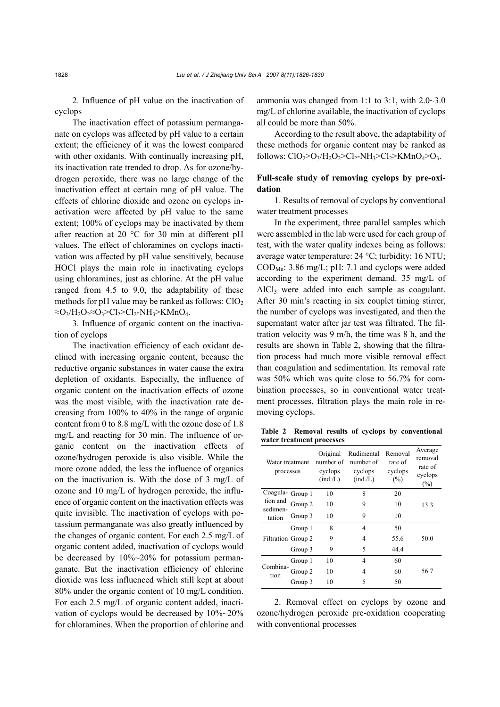2. Influence of pH value on the inactivation of cyclops

The inactivation effect of potassium permanganate on cyclops was affected by pH value to a certain extent; the efficiency of it was the lowest compared with other oxidants. With continually increasing pH, its inactivation rate trended to drop. As for ozone/hydrogen peroxide, there was no large change of the inactivation effect at certain rang of pH value. The effects of chlorine dioxide and ozone on cyclops inactivation were affected by pH value to the same extent; 100% of cyclops may be inactivated by them after reaction at 20 °C for 30 min at different pH values. The effect of chloramines on cyclops inactivation was affected by pH value sensitively, because HOCl plays the main role in inactivating cyclops using chloramines, just as chlorine. At the pH value ranged from 4.5 to 9.0, the adaptability of these methods for pH value may be ranked as follows:  $ClO<sub>2</sub>$  $\approx$ O<sub>3</sub>/H<sub>2</sub>O<sub>2</sub> $\approx$ O<sub>3</sub>>Cl<sub>2</sub>>Cl<sub>2</sub>-NH<sub>3</sub>>KMnO<sub>4</sub>.

3. Influence of organic content on the inactivation of cyclops

The inactivation efficiency of each oxidant declined with increasing organic content, because the reductive organic substances in water cause the extra depletion of oxidants. Especially, the influence of organic content on the inactivation effects of ozone was the most visible, with the inactivation rate decreasing from 100% to 40% in the range of organic content from 0 to 8.8 mg/L with the ozone dose of 1.8 mg/L and reacting for 30 min. The influence of organic content on the inactivation effects of ozone/hydrogen peroxide is also visible. While the more ozone added, the less the influence of organics on the inactivation is. With the dose of 3 mg/L of ozone and 10 mg/L of hydrogen peroxide, the influence of organic content on the inactivation effects was quite invisible. The inactivation of cyclops with potassium permanganate was also greatly influenced by the changes of organic content. For each 2.5 mg/L of organic content added, inactivation of cyclops would be decreased by 10%~20% for potassium permanganate. But the inactivation efficiency of chlorine dioxide was less influenced which still kept at about 80% under the organic content of 10 mg/L condition. For each 2.5 mg/L of organic content added, inactivation of cyclops would be decreased by 10%~20% for chloramines. When the proportion of chlorine and ammonia was changed from 1:1 to 3:1, with 2.0~3.0 mg/L of chlorine available, the inactivation of cyclops all could be more than 50%.

According to the result above, the adaptability of these methods for organic content may be ranked as follows:  $ClO_2 > O_3/H_2O_2 > Cl_2-NH_3 > Cl_2 > KMnO_4 > O_3.$ 

# **Full-scale study of removing cyclops by pre-oxidation**

1. Results of removal of cyclops by conventional water treatment processes

In the experiment, three parallel samples which were assembled in the lab were used for each group of test, with the water quality indexes being as follows: average water temperature: 24 °C; turbidity: 16 NTU; CODMn: 3.86 mg/L; pH: 7.1 and cyclops were added according to the experiment demand. 35 mg/L of  $AICI<sub>3</sub>$  were added into each sample as coagulant. After 30 min's reacting in six couplet timing stirrer, the number of cyclops was investigated, and then the supernatant water after jar test was filtrated. The filtration velocity was 9 m/h, the time was 8 h, and the results are shown in Table 2, showing that the filtration process had much more visible removal effect than coagulation and sedimentation. Its removal rate was 50% which was quite close to 56.7% for combination processes, so in conventional water treatment processes, filtration plays the main role in removing cyclops.

**Table 2 Removal results of cyclops by conventional water treatment processes**

| Water treatment<br>processes                       |         | Original<br>number of<br>cyclops<br>(ind./L) | Rudimental<br>number of<br>cyclops<br>(ind./L) | Removal<br>rate of<br>cyclops<br>(%) | Average<br>removal<br>rate of<br>cyclops<br>(%) |
|----------------------------------------------------|---------|----------------------------------------------|------------------------------------------------|--------------------------------------|-------------------------------------------------|
| Coagula- Group 1<br>tion and<br>sedimen-<br>tation |         | 10                                           | 8                                              | 20                                   |                                                 |
|                                                    | Group 2 | 10                                           | 9                                              | 10                                   | 13.3                                            |
|                                                    | Group 3 | 10                                           | 9                                              | 10                                   |                                                 |
| Filtration Group 2                                 | Group 1 | 8                                            | 4                                              | 50                                   |                                                 |
|                                                    |         | 9                                            | 4                                              | 55.6                                 | 50.0                                            |
|                                                    | Group 3 | 9                                            | 5                                              | 44.4                                 |                                                 |
| Combina-<br>tion                                   | Group 1 | 10                                           | 4                                              | 60                                   |                                                 |
|                                                    | Group 2 | 10                                           | 4                                              | 60                                   | 56.7                                            |
|                                                    | Group 3 | 10                                           | 5                                              | 50                                   |                                                 |

2. Removal effect on cyclops by ozone and ozone/hydrogen peroxide pre-oxidation cooperating with conventional processes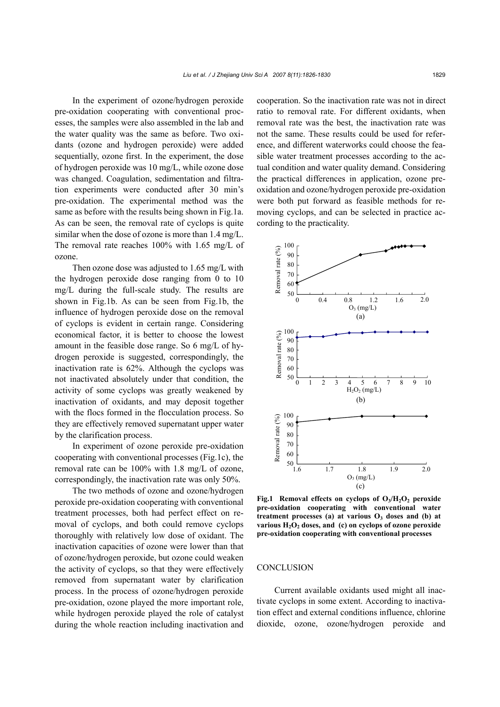In the experiment of ozone/hydrogen peroxide pre-oxidation cooperating with conventional processes, the samples were also assembled in the lab and the water quality was the same as before. Two oxidants (ozone and hydrogen peroxide) were added sequentially, ozone first. In the experiment, the dose of hydrogen peroxide was 10 mg/L, while ozone dose was changed. Coagulation, sedimentation and filtration experiments were conducted after 30 min's pre-oxidation. The experimental method was the same as before with the results being shown in Fig.1a. As can be seen, the removal rate of cyclops is quite similar when the dose of ozone is more than 1.4 mg/L. The removal rate reaches 100% with 1.65 mg/L of ozone.

Then ozone dose was adjusted to 1.65 mg/L with the hydrogen peroxide dose ranging from 0 to 10 mg/L during the full-scale study. The results are shown in Fig.1b. As can be seen from Fig.1b, the influence of hydrogen peroxide dose on the removal of cyclops is evident in certain range. Considering economical factor, it is better to choose the lowest amount in the feasible dose range. So 6 mg/L of hydrogen peroxide is suggested, correspondingly, the inactivation rate is 62%. Although the cyclops was not inactivated absolutely under that condition, the activity of some cyclops was greatly weakened by inactivation of oxidants, and may deposit together with the flocs formed in the flocculation process. So they are effectively removed supernatant upper water by the clarification process.

In experiment of ozone peroxide pre-oxidation cooperating with conventional processes (Fig.1c), the removal rate can be 100% with 1.8 mg/L of ozone, correspondingly, the inactivation rate was only 50%.

The two methods of ozone and ozone/hydrogen peroxide pre-oxidation cooperating with conventional treatment processes, both had perfect effect on removal of cyclops, and both could remove cyclops thoroughly with relatively low dose of oxidant. The inactivation capacities of ozone were lower than that of ozone/hydrogen peroxide, but ozone could weaken the activity of cyclops, so that they were effectively removed from supernatant water by clarification process. In the process of ozone/hydrogen peroxide pre-oxidation, ozone played the more important role, while hydrogen peroxide played the role of catalyst during the whole reaction including inactivation and

cooperation. So the inactivation rate was not in direct ratio to removal rate. For different oxidants, when removal rate was the best, the inactivation rate was not the same. These results could be used for reference, and different waterworks could choose the feasible water treatment processes according to the actual condition and water quality demand. Considering the practical differences in application, ozone preoxidation and ozone/hydrogen peroxide pre-oxidation were both put forward as feasible methods for removing cyclops, and can be selected in practice according to the practicality.



Fig.1 Removal effects on cyclops of O<sub>3</sub>/H<sub>2</sub>O<sub>2</sub> peroxide **pre-oxidation cooperating with conventional water**  treatment processes (a) at various  $O_3$  doses and (b) at various H<sub>2</sub>O<sub>2</sub> doses, and (c) on cyclops of ozone peroxide **pre-oxidation cooperating with conventional processes** 

#### **CONCLUSION**

Current available oxidants used might all inactivate cyclops in some extent. According to inactivation effect and external conditions influence, chlorine dioxide, ozone, ozone/hydrogen peroxide and